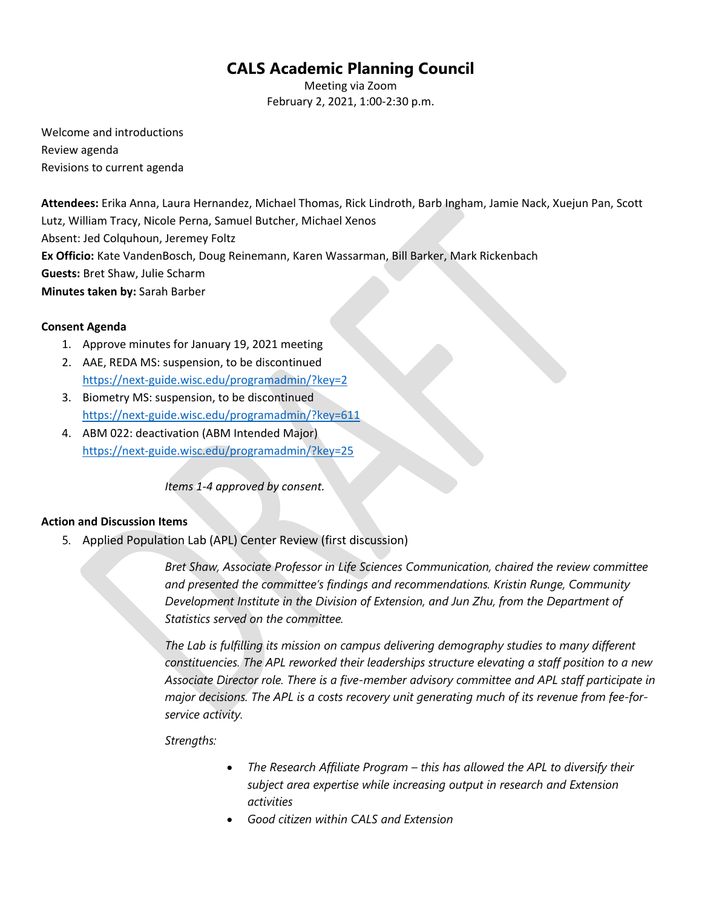# **CALS Academic Planning Council**

Meeting via Zoom February 2, 2021, 1:00-2:30 p.m.

Welcome and introductions Review agenda Revisions to current agenda

**Attendees:** Erika Anna, Laura Hernandez, Michael Thomas, Rick Lindroth, Barb Ingham, Jamie Nack, Xuejun Pan, Scott Lutz, William Tracy, Nicole Perna, Samuel Butcher, Michael Xenos Absent: Jed Colquhoun, Jeremey Foltz **Ex Officio:** Kate VandenBosch, Doug Reinemann, Karen Wassarman, Bill Barker, Mark Rickenbach **Guests:** Bret Shaw, Julie Scharm **Minutes taken by:** Sarah Barber

### **Consent Agenda**

- 1. Approve minutes for January 19, 2021 meeting
- 2. AAE, REDA MS: suspension, to be discontinued <https://next-guide.wisc.edu/programadmin/?key=2>
- 3. Biometry MS: suspension, to be discontinued <https://next-guide.wisc.edu/programadmin/?key=611>
- 4. ABM 022: deactivation (ABM Intended Major) <https://next-guide.wisc.edu/programadmin/?key=25>

*Items 1-4 approved by consent.* 

### **Action and Discussion Items**

5. Applied Population Lab (APL) Center Review (first discussion)

*Bret Shaw, Associate Professor in Life Sciences Communication, chaired the review committee and presented the committee's findings and recommendations. Kristin Runge, Community Development Institute in the Division of Extension, and Jun Zhu, from the Department of Statistics served on the committee.* 

*The Lab is fulfilling its mission on campus delivering demography studies to many different constituencies. The APL reworked their leaderships structure elevating a staff position to a new Associate Director role. There is a five-member advisory committee and APL staff participate in major decisions. The APL is a costs recovery unit generating much of its revenue from fee-forservice activity.*

*Strengths:*

- *The Research Affiliate Program – this has allowed the APL to diversify their subject area expertise while increasing output in research and Extension activities*
- *Good citizen within CALS and Extension*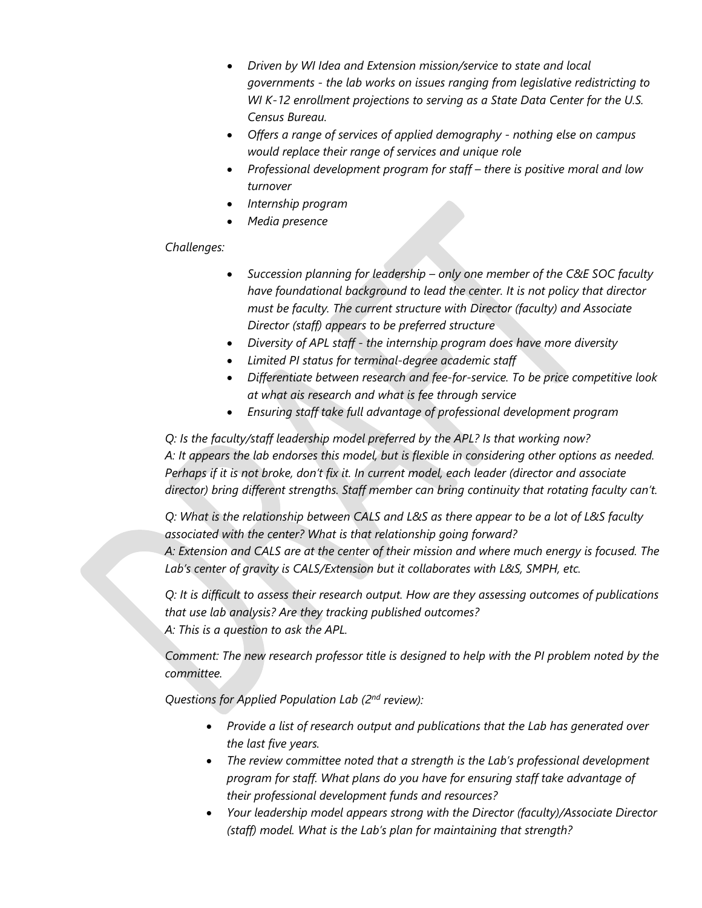- *Driven by WI Idea and Extension mission/service to state and local governments - the lab works on issues ranging from legislative redistricting to WI K-12 enrollment projections to serving as a State Data Center for the U.S. Census Bureau.*
- *Offers a range of services of applied demography - nothing else on campus would replace their range of services and unique role*
- *Professional development program for staff – there is positive moral and low turnover*
- *Internship program*
- *Media presence*

## *Challenges:*

- *Succession planning for leadership – only one member of the C&E SOC faculty have foundational background to lead the center. It is not policy that director must be faculty. The current structure with Director (faculty) and Associate Director (staff) appears to be preferred structure*
- *Diversity of APL staff - the internship program does have more diversity*
- *Limited PI status for terminal-degree academic staff*
- *Differentiate between research and fee-for-service. To be price competitive look at what ais research and what is fee through service*
- *Ensuring staff take full advantage of professional development program*

*Q: Is the faculty/staff leadership model preferred by the APL? Is that working now? A: It appears the lab endorses this model, but is flexible in considering other options as needed. Perhaps if it is not broke, don't fix it. In current model, each leader (director and associate director) bring different strengths. Staff member can bring continuity that rotating faculty can't.* 

*Q: What is the relationship between CALS and L&S as there appear to be a lot of L&S faculty associated with the center? What is that relationship going forward? A: Extension and CALS are at the center of their mission and where much energy is focused. The Lab's center of gravity is CALS/Extension but it collaborates with L&S, SMPH, etc.* 

*Q: It is difficult to assess their research output. How are they assessing outcomes of publications that use lab analysis? Are they tracking published outcomes? A: This is a question to ask the APL.* 

*Comment: The new research professor title is designed to help with the PI problem noted by the committee.* 

*Questions for Applied Population Lab (2nd review):* 

- *Provide a list of research output and publications that the Lab has generated over the last five years.*
- *The review committee noted that a strength is the Lab's professional development program for staff. What plans do you have for ensuring staff take advantage of their professional development funds and resources?*
- *Your leadership model appears strong with the Director (faculty)/Associate Director (staff) model. What is the Lab's plan for maintaining that strength?*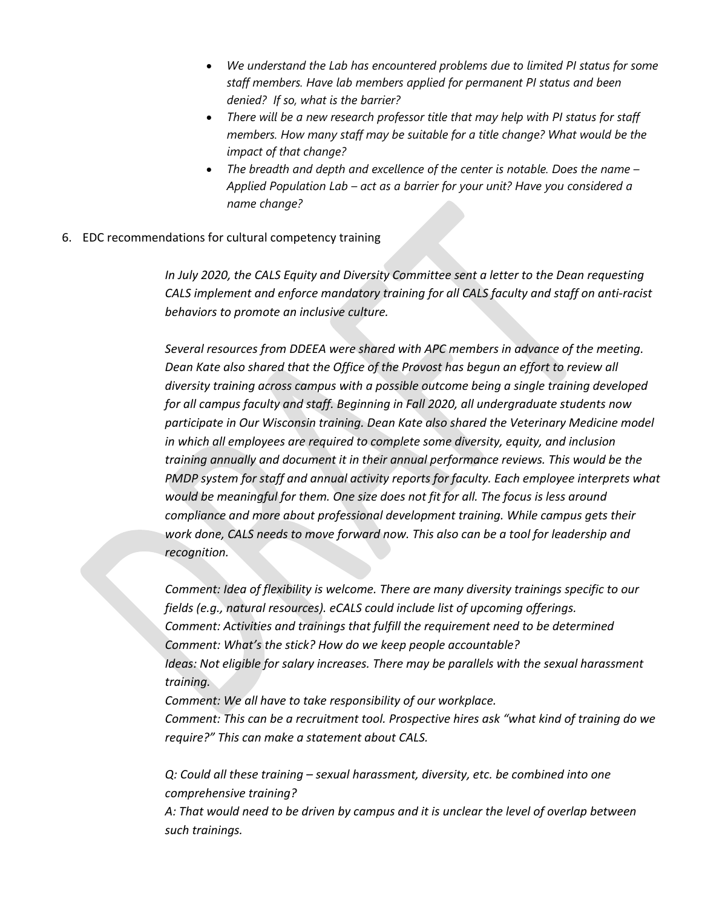- *We understand the Lab has encountered problems due to limited PI status for some staff members. Have lab members applied for permanent PI status and been denied? If so, what is the barrier?*
- *There will be a new research professor title that may help with PI status for staff members. How many staff may be suitable for a title change? What would be the impact of that change?*
- *The breadth and depth and excellence of the center is notable. Does the name – Applied Population Lab – act as a barrier for your unit? Have you considered a name change?*
- 6. EDC recommendations for cultural competency training

*In July 2020, the CALS Equity and Diversity Committee sent a letter to the Dean requesting CALS implement and enforce mandatory training for all CALS faculty and staff on anti-racist behaviors to promote an inclusive culture.* 

*Several resources from DDEEA were shared with APC members in advance of the meeting. Dean Kate also shared that the Office of the Provost has begun an effort to review all diversity training across campus with a possible outcome being a single training developed for all campus faculty and staff. Beginning in Fall 2020, all undergraduate students now participate in Our Wisconsin training. Dean Kate also shared the Veterinary Medicine model in which all employees are required to complete some diversity, equity, and inclusion training annually and document it in their annual performance reviews. This would be the PMDP system for staff and annual activity reports for faculty. Each employee interprets what would be meaningful for them. One size does not fit for all. The focus is less around compliance and more about professional development training. While campus gets their work done, CALS needs to move forward now. This also can be a tool for leadership and recognition.*

*Comment: Idea of flexibility is welcome. There are many diversity trainings specific to our fields (e.g., natural resources). eCALS could include list of upcoming offerings. Comment: Activities and trainings that fulfill the requirement need to be determined Comment: What's the stick? How do we keep people accountable? Ideas: Not eligible for salary increases. There may be parallels with the sexual harassment training.*

*Comment: We all have to take responsibility of our workplace. Comment: This can be a recruitment tool. Prospective hires ask "what kind of training do we require?" This can make a statement about CALS.*

*Q: Could all these training – sexual harassment, diversity, etc. be combined into one comprehensive training?* 

*A: That would need to be driven by campus and it is unclear the level of overlap between such trainings.*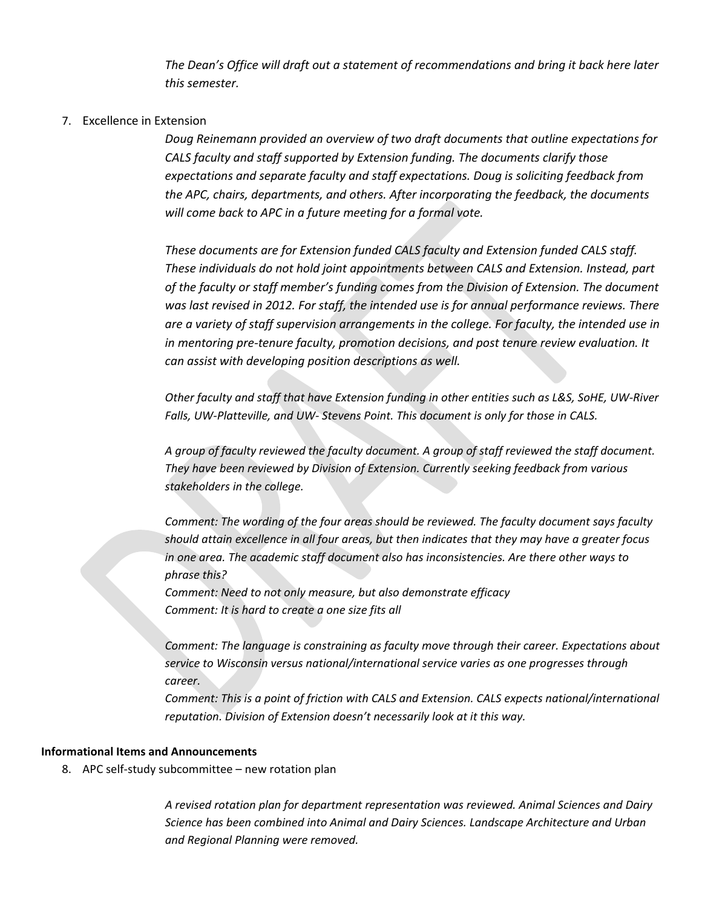*The Dean's Office will draft out a statement of recommendations and bring it back here later this semester.* 

### 7. Excellence in Extension

*Doug Reinemann provided an overview of two draft documents that outline expectations for CALS faculty and staff supported by Extension funding. The documents clarify those expectations and separate faculty and staff expectations. Doug is soliciting feedback from the APC, chairs, departments, and others. After incorporating the feedback, the documents will come back to APC in a future meeting for a formal vote.* 

*These documents are for Extension funded CALS faculty and Extension funded CALS staff. These individuals do not hold joint appointments between CALS and Extension. Instead, part of the faculty or staff member's funding comes from the Division of Extension. The document was last revised in 2012. For staff, the intended use is for annual performance reviews. There are a variety of staff supervision arrangements in the college. For faculty, the intended use in in mentoring pre-tenure faculty, promotion decisions, and post tenure review evaluation. It can assist with developing position descriptions as well.*

*Other faculty and staff that have Extension funding in other entities such as L&S, SoHE, UW-River Falls, UW-Platteville, and UW- Stevens Point. This document is only for those in CALS.* 

*A group of faculty reviewed the faculty document. A group of staff reviewed the staff document. They have been reviewed by Division of Extension. Currently seeking feedback from various stakeholders in the college.*

*Comment: The wording of the four areas should be reviewed. The faculty document says faculty should attain excellence in all four areas, but then indicates that they may have a greater focus in one area. The academic staff document also has inconsistencies. Are there other ways to phrase this?*

*Comment: Need to not only measure, but also demonstrate efficacy Comment: It is hard to create a one size fits all*

*Comment: The language is constraining as faculty move through their career. Expectations about service to Wisconsin versus national/international service varies as one progresses through career.* 

*Comment: This is a point of friction with CALS and Extension. CALS expects national/international reputation. Division of Extension doesn't necessarily look at it this way.*

#### **Informational Items and Announcements**

8. APC self-study subcommittee – new rotation plan

*A revised rotation plan for department representation was reviewed. Animal Sciences and Dairy Science has been combined into Animal and Dairy Sciences. Landscape Architecture and Urban and Regional Planning were removed.*